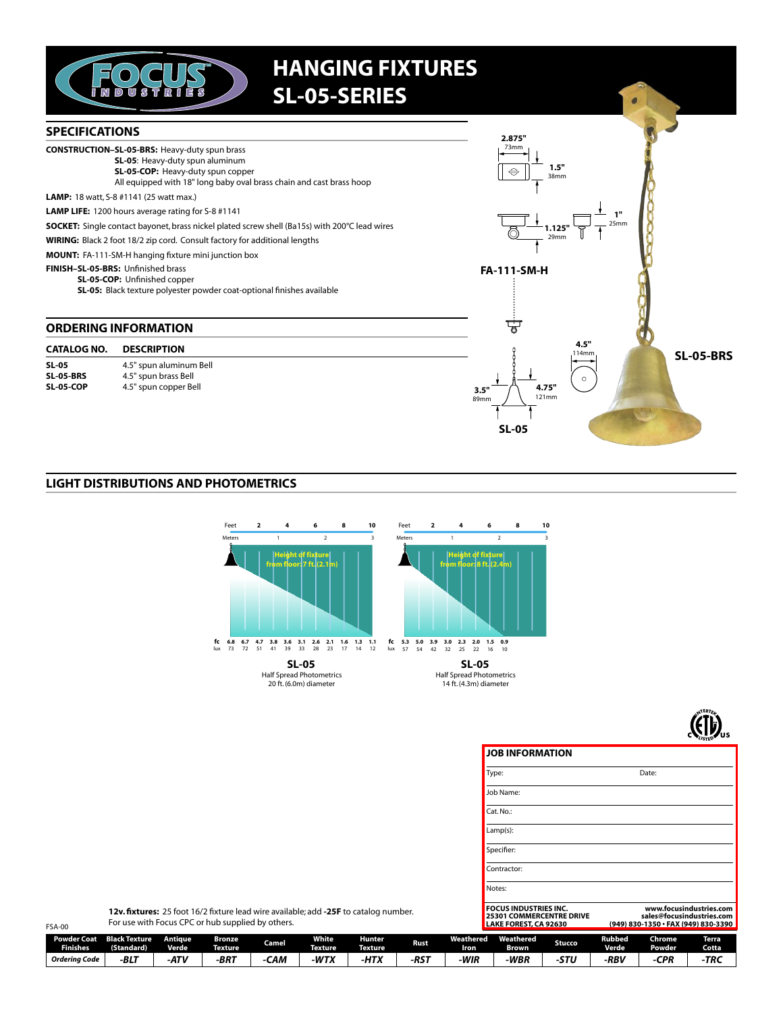

## **HANGING FIXTURES SL-05-SERIES**



## **LIGHT DISTRIBUTIONS AND PHOTOMETRICS**





**JOB INFORMATION** 

Date: Type: Job Name: Cat. No.:  $Lamp(s)$ : Specifier: Contractor: Notes: **FOCUS INDUSTRIES INC.<br>25301 COMMERCENTRE DRIVE<br>LAKE FOREST, CA 92630** www.focusindustries.com sales@focusindustries.com<br>830-1350 • FAX (949) 830-3390

12v. fixtures: 25 foot 16/2 fixture lead wire available; add -25F to catalog number. For use with Focus CPC or hub supplied by others.

| <b>FSA-00</b>                         | For use with Focus CPC or hub supplied by others. |                         |                   |       |                                |                          |                  |                   | LAKE FOREST, CA 92630 |        |                        | (949) 830-1350 · FAX (949) 830-3390 |                              |  |
|---------------------------------------|---------------------------------------------------|-------------------------|-------------------|-------|--------------------------------|--------------------------|------------------|-------------------|-----------------------|--------|------------------------|-------------------------------------|------------------------------|--|
| <b>Powder Coat</b><br><b>Finishes</b> | <b>Black Texture</b><br>(Standard)                | Antiaue<br><b>Verde</b> | Bronze<br>Texture | Camel | <b>White</b><br><b>Texture</b> | Hunter<br><b>Texture</b> | Rust.            | Weathered<br>Iron | Weathered<br>Brown    | Stucco | Rubbed<br><b>Verde</b> | <b>Chrome</b><br><b>Powder</b>      | <b>Terra</b><br><b>Cotta</b> |  |
| Orderina Code                         | $-BLT$                                            | $-ATV$                  | -BRT              | CAM   | -WTX                           | -HTX                     | -RS <sup>-</sup> | -WIR              | -WBR                  | STL    | -RBV                   | CPR                                 | -TRC                         |  |